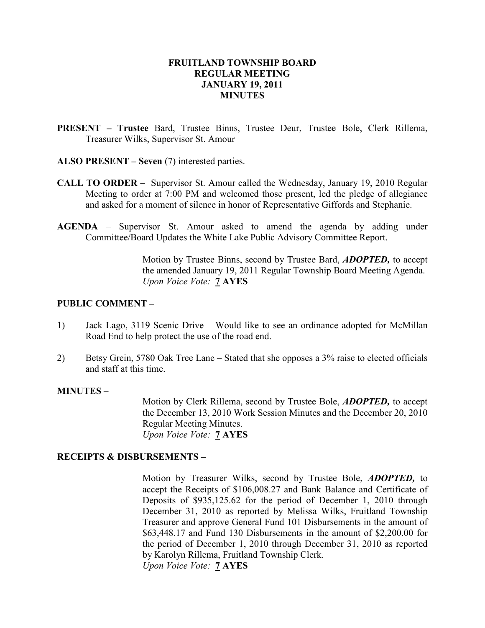## FRUITLAND TOWNSHIP BOARD REGULAR MEETING JANUARY 19, 2011 **MINUTES**

- PRESENT Trustee Bard, Trustee Binns, Trustee Deur, Trustee Bole, Clerk Rillema, Treasurer Wilks, Supervisor St. Amour
- ALSO PRESENT Seven (7) interested parties.
- CALL TO ORDER Supervisor St. Amour called the Wednesday, January 19, 2010 Regular Meeting to order at 7:00 PM and welcomed those present, led the pledge of allegiance and asked for a moment of silence in honor of Representative Giffords and Stephanie.
- AGENDA Supervisor St. Amour asked to amend the agenda by adding under Committee/Board Updates the White Lake Public Advisory Committee Report.

Motion by Trustee Binns, second by Trustee Bard, ADOPTED, to accept the amended January 19, 2011 Regular Township Board Meeting Agenda. Upon Voice Vote: 7 AYES

### PUBLIC COMMENT –

- 1) Jack Lago, 3119 Scenic Drive Would like to see an ordinance adopted for McMillan Road End to help protect the use of the road end.
- 2) Betsy Grein, 5780 Oak Tree Lane Stated that she opposes a 3% raise to elected officials and staff at this time.

#### MINUTES –

Motion by Clerk Rillema, second by Trustee Bole, ADOPTED, to accept the December 13, 2010 Work Session Minutes and the December 20, 2010 Regular Meeting Minutes. Upon Voice Vote: 7 AYES

#### RECEIPTS & DISBURSEMENTS –

Motion by Treasurer Wilks, second by Trustee Bole, **ADOPTED**, to accept the Receipts of \$106,008.27 and Bank Balance and Certificate of Deposits of \$935,125.62 for the period of December 1, 2010 through December 31, 2010 as reported by Melissa Wilks, Fruitland Township Treasurer and approve General Fund 101 Disbursements in the amount of \$63,448.17 and Fund 130 Disbursements in the amount of \$2,200.00 for the period of December 1, 2010 through December 31, 2010 as reported by Karolyn Rillema, Fruitland Township Clerk. Upon Voice Vote: 7 AYES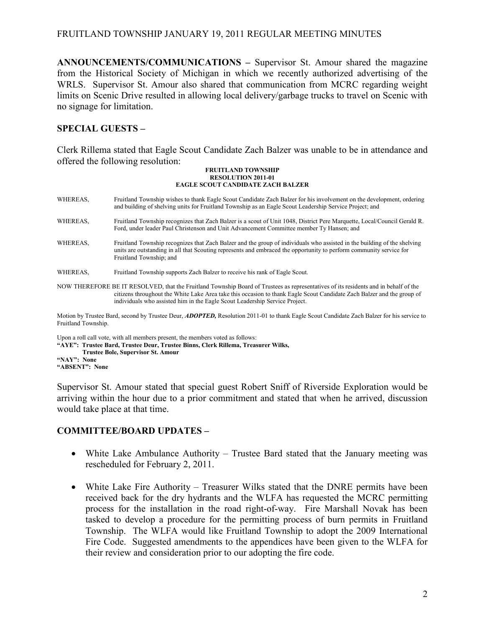## FRUITLAND TOWNSHIP JANUARY 19, 2011 REGULAR MEETING MINUTES

ANNOUNCEMENTS/COMMUNICATIONS – Supervisor St. Amour shared the magazine from the Historical Society of Michigan in which we recently authorized advertising of the WRLS. Supervisor St. Amour also shared that communication from MCRC regarding weight limits on Scenic Drive resulted in allowing local delivery/garbage trucks to travel on Scenic with no signage for limitation.

## SPECIAL GUESTS –

Clerk Rillema stated that Eagle Scout Candidate Zach Balzer was unable to be in attendance and offered the following resolution:

#### FRUITLAND TOWNSHIP RESOLUTION 2011-01 EAGLE SCOUT CANDIDATE ZACH BALZER

| WHEREAS,                                                                                                                                                                      | Fruitland Township wishes to thank Eagle Scout Candidate Zach Balzer for his involvement on the development, ordering<br>and building of shelving units for Fruitland Township as an Eagle Scout Leadership Service Project; and                                                                                                              |  |  |  |
|-------------------------------------------------------------------------------------------------------------------------------------------------------------------------------|-----------------------------------------------------------------------------------------------------------------------------------------------------------------------------------------------------------------------------------------------------------------------------------------------------------------------------------------------|--|--|--|
| WHEREAS,                                                                                                                                                                      | Fruitland Township recognizes that Zach Balzer is a scout of Unit 1048, District Pere Marquette, Local/Council Gerald R.<br>Ford, under leader Paul Christenson and Unit Advancement Committee member Ty Hansen; and                                                                                                                          |  |  |  |
| WHEREAS.                                                                                                                                                                      | Fruitland Township recognizes that Zach Balzer and the group of individuals who assisted in the building of the shelving<br>units are outstanding in all that Scouting represents and embraced the opportunity to perform community service for<br>Fruitland Township; and                                                                    |  |  |  |
| WHEREAS,                                                                                                                                                                      | Fruitland Township supports Zach Balzer to receive his rank of Eagle Scout.                                                                                                                                                                                                                                                                   |  |  |  |
|                                                                                                                                                                               | NOW THEREFORE BE IT RESOLVED, that the Fruitland Township Board of Trustees as representatives of its residents and in behalf of the<br>citizens throughout the White Lake Area take this occasion to thank Eagle Scout Candidate Zach Balzer and the group of<br>individuals who assisted him in the Eagle Scout Leadership Service Project. |  |  |  |
| Motion by Trustee Bard, second by Trustee Deur, <i>ADOPTED</i> , Resolution 2011-01 to thank Eagle Scout Candidate Zach Balzer for his service to<br><b>Enutland Township</b> |                                                                                                                                                                                                                                                                                                                                               |  |  |  |

Fruitland Township.

Upon a roll call vote, with all members present, the members voted as follows:

"AYE": Trustee Bard, Trustee Deur, Trustee Binns, Clerk Rillema, Treasurer Wilks,

Trustee Bole, Supervisor St. Amour

"NAY": None "ABSENT": None

Supervisor St. Amour stated that special guest Robert Sniff of Riverside Exploration would be arriving within the hour due to a prior commitment and stated that when he arrived, discussion would take place at that time.

### COMMITTEE/BOARD UPDATES –

- White Lake Ambulance Authority Trustee Bard stated that the January meeting was rescheduled for February 2, 2011.
- White Lake Fire Authority Treasurer Wilks stated that the DNRE permits have been received back for the dry hydrants and the WLFA has requested the MCRC permitting process for the installation in the road right-of-way. Fire Marshall Novak has been tasked to develop a procedure for the permitting process of burn permits in Fruitland Township. The WLFA would like Fruitland Township to adopt the 2009 International Fire Code. Suggested amendments to the appendices have been given to the WLFA for their review and consideration prior to our adopting the fire code.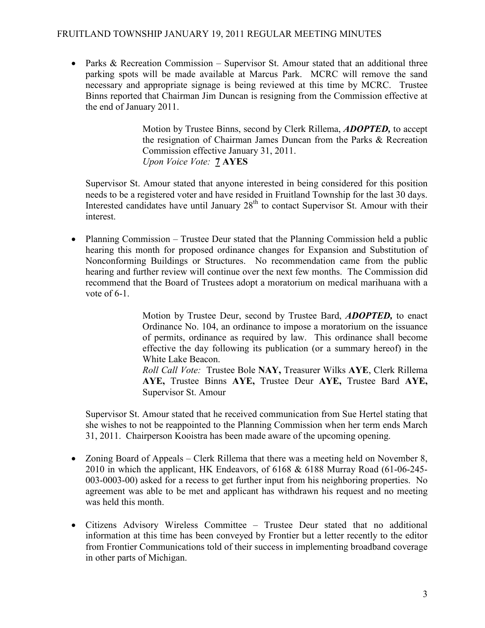## FRUITLAND TOWNSHIP JANUARY 19, 2011 REGULAR MEETING MINUTES

• Parks & Recreation Commission – Supervisor St. Amour stated that an additional three parking spots will be made available at Marcus Park. MCRC will remove the sand necessary and appropriate signage is being reviewed at this time by MCRC. Trustee Binns reported that Chairman Jim Duncan is resigning from the Commission effective at the end of January 2011.

> Motion by Trustee Binns, second by Clerk Rillema, ADOPTED, to accept the resignation of Chairman James Duncan from the Parks & Recreation Commission effective January 31, 2011. Upon Voice Vote: 7 AYES

Supervisor St. Amour stated that anyone interested in being considered for this position needs to be a registered voter and have resided in Fruitland Township for the last 30 days. Interested candidates have until January  $28<sup>th</sup>$  to contact Supervisor St. Amour with their interest.

• Planning Commission – Trustee Deur stated that the Planning Commission held a public hearing this month for proposed ordinance changes for Expansion and Substitution of Nonconforming Buildings or Structures. No recommendation came from the public hearing and further review will continue over the next few months. The Commission did recommend that the Board of Trustees adopt a moratorium on medical marihuana with a vote of  $6-1$ .

> Motion by Trustee Deur, second by Trustee Bard, **ADOPTED**, to enact Ordinance No. 104, an ordinance to impose a moratorium on the issuance of permits, ordinance as required by law. This ordinance shall become effective the day following its publication (or a summary hereof) in the White Lake Beacon.

> Roll Call Vote: Trustee Bole NAY, Treasurer Wilks AYE, Clerk Rillema AYE, Trustee Binns AYE, Trustee Deur AYE, Trustee Bard AYE, Supervisor St. Amour

Supervisor St. Amour stated that he received communication from Sue Hertel stating that she wishes to not be reappointed to the Planning Commission when her term ends March 31, 2011. Chairperson Kooistra has been made aware of the upcoming opening.

- Zoning Board of Appeals Clerk Rillema that there was a meeting held on November 8, 2010 in which the applicant, HK Endeavors, of 6168 & 6188 Murray Road (61-06-245- 003-0003-00) asked for a recess to get further input from his neighboring properties. No agreement was able to be met and applicant has withdrawn his request and no meeting was held this month.
- Citizens Advisory Wireless Committee Trustee Deur stated that no additional information at this time has been conveyed by Frontier but a letter recently to the editor from Frontier Communications told of their success in implementing broadband coverage in other parts of Michigan.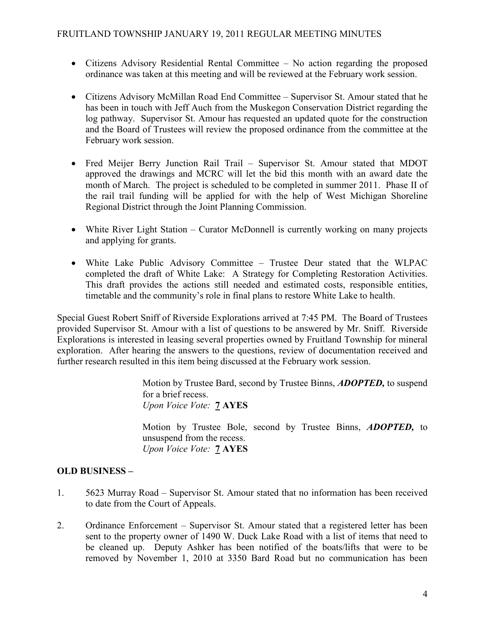- Citizens Advisory Residential Rental Committee No action regarding the proposed ordinance was taken at this meeting and will be reviewed at the February work session.
- Citizens Advisory McMillan Road End Committee Supervisor St. Amour stated that he has been in touch with Jeff Auch from the Muskegon Conservation District regarding the log pathway. Supervisor St. Amour has requested an updated quote for the construction and the Board of Trustees will review the proposed ordinance from the committee at the February work session.
- Fred Meijer Berry Junction Rail Trail Supervisor St. Amour stated that MDOT approved the drawings and MCRC will let the bid this month with an award date the month of March. The project is scheduled to be completed in summer 2011. Phase II of the rail trail funding will be applied for with the help of West Michigan Shoreline Regional District through the Joint Planning Commission.
- White River Light Station Curator McDonnell is currently working on many projects and applying for grants.
- White Lake Public Advisory Committee Trustee Deur stated that the WLPAC completed the draft of White Lake: A Strategy for Completing Restoration Activities. This draft provides the actions still needed and estimated costs, responsible entities, timetable and the community's role in final plans to restore White Lake to health.

Special Guest Robert Sniff of Riverside Explorations arrived at 7:45 PM. The Board of Trustees provided Supervisor St. Amour with a list of questions to be answered by Mr. Sniff. Riverside Explorations is interested in leasing several properties owned by Fruitland Township for mineral exploration. After hearing the answers to the questions, review of documentation received and further research resulted in this item being discussed at the February work session.

> Motion by Trustee Bard, second by Trustee Binns, **ADOPTED**, to suspend for a brief recess. Upon Voice Vote: **7 AYES**

> Motion by Trustee Bole, second by Trustee Binns, ADOPTED, to unsuspend from the recess. Upon Voice Vote: **7 AYES**

# OLD BUSINESS –

- 1. 5623 Murray Road Supervisor St. Amour stated that no information has been received to date from the Court of Appeals.
- 2. Ordinance Enforcement Supervisor St. Amour stated that a registered letter has been sent to the property owner of 1490 W. Duck Lake Road with a list of items that need to be cleaned up. Deputy Ashker has been notified of the boats/lifts that were to be removed by November 1, 2010 at 3350 Bard Road but no communication has been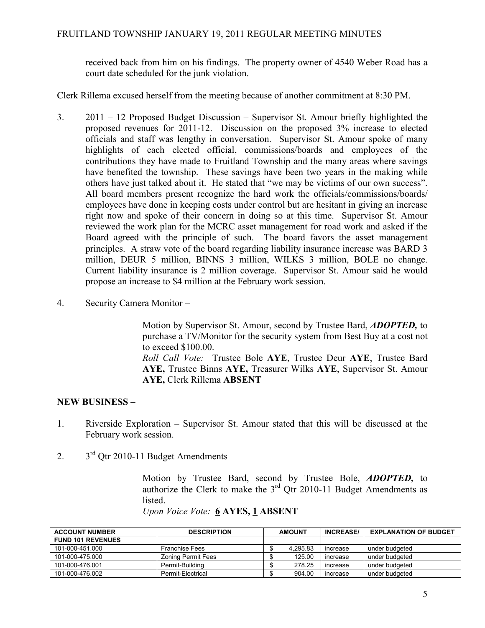received back from him on his findings. The property owner of 4540 Weber Road has a court date scheduled for the junk violation.

Clerk Rillema excused herself from the meeting because of another commitment at 8:30 PM.

- 3. 2011 12 Proposed Budget Discussion Supervisor St. Amour briefly highlighted the proposed revenues for 2011-12. Discussion on the proposed 3% increase to elected officials and staff was lengthy in conversation. Supervisor St. Amour spoke of many highlights of each elected official, commissions/boards and employees of the contributions they have made to Fruitland Township and the many areas where savings have benefited the township. These savings have been two years in the making while others have just talked about it. He stated that "we may be victims of our own success". All board members present recognize the hard work the officials/commissions/boards/ employees have done in keeping costs under control but are hesitant in giving an increase right now and spoke of their concern in doing so at this time. Supervisor St. Amour reviewed the work plan for the MCRC asset management for road work and asked if the Board agreed with the principle of such. The board favors the asset management principles. A straw vote of the board regarding liability insurance increase was BARD 3 million, DEUR 5 million, BINNS 3 million, WILKS 3 million, BOLE no change. Current liability insurance is 2 million coverage. Supervisor St. Amour said he would propose an increase to \$4 million at the February work session.
- 4. Security Camera Monitor –

Motion by Supervisor St. Amour, second by Trustee Bard, **ADOPTED**, to purchase a TV/Monitor for the security system from Best Buy at a cost not to exceed \$100.00.

Roll Call Vote: Trustee Bole AYE, Trustee Deur AYE, Trustee Bard AYE, Trustee Binns AYE, Treasurer Wilks AYE, Supervisor St. Amour AYE, Clerk Rillema ABSENT

# NEW BUSINESS –

- 1. Riverside Exploration Supervisor St. Amour stated that this will be discussed at the February work session.
- 2.  $3<sup>rd</sup>$  Qtr 2010-11 Budget Amendments –

Motion by Trustee Bard, second by Trustee Bole, ADOPTED, to authorize the Clerk to make the  $3<sup>rd</sup>$  Qtr 2010-11 Budget Amendments as listed.

| <b>ACCOUNT NUMBER</b>    | <b>DESCRIPTION</b>        | <b>AMOUNT</b> |          | <b>INCREASE/</b> | <b>EXPLANATION OF BUDGET</b> |
|--------------------------|---------------------------|---------------|----------|------------------|------------------------------|
| <b>FUND 101 REVENUES</b> |                           |               |          |                  |                              |
| 101-000-451.000          | <b>Franchise Fees</b>     |               | 4.295.83 | increase         | under budgeted               |
| 101-000-475.000          | <b>Zoning Permit Fees</b> |               | 125.00   | increase         | under budgeted               |
| 101-000-476.001          | Permit-Building           |               | 278.25   | increase         | under budgeted               |
| 101-000-476.002          | Permit-Electrical         |               | 904.00   | increase         | under budgeted               |

Upon Voice Vote: 6 AYES, 1 ABSENT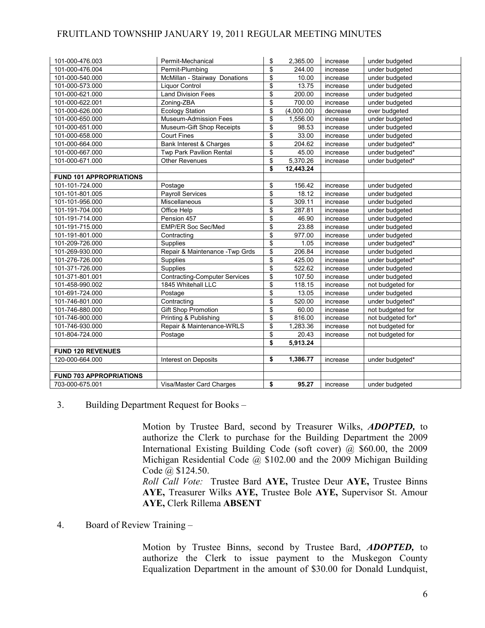# FRUITLAND TOWNSHIP JANUARY 19, 2011 REGULAR MEETING MINUTES

| 101-000-476.003                | Permit-Mechanical                    | \$<br>2,365.00   | increase | under budgeted    |
|--------------------------------|--------------------------------------|------------------|----------|-------------------|
| 101-000-476.004                | Permit-Plumbing                      | \$<br>244.00     | increase | under budgeted    |
| 101-000-540.000                | McMillan - Stairway Donations        | \$<br>10.00      | increase | under budgeted    |
| 101-000-573.000                | <b>Liquor Control</b>                | \$<br>13.75      | increase | under budgeted    |
| 101-000-621.000                | <b>Land Division Fees</b>            | \$<br>200.00     | increase | under budgeted    |
| 101-000-622.001                | Zoning-ZBA                           | \$<br>700.00     | increase | under budgeted    |
| 101-000-626.000                | <b>Ecology Station</b>               | \$<br>(4,000.00) | decrease | over budgeted     |
| 101-000-650.000                | Museum-Admission Fees                | \$<br>1,556.00   | increase | under budgeted    |
| 101-000-651.000                | Museum-Gift Shop Receipts            | \$<br>98.53      | increase | under budgeted    |
| 101-000-658.000                | <b>Court Fines</b>                   | \$<br>33.00      | increase | under budgeted    |
| 101-000-664.000                | Bank Interest & Charges              | \$<br>204.62     | increase | under budgeted*   |
| 101-000-667.000                | Twp Park Pavilion Rental             | \$<br>45.00      | increase | under budgeted*   |
| 101-000-671.000                | Other Revenues                       | \$<br>5,370.26   | increase | under budgeted*   |
|                                |                                      | \$<br>12,443.24  |          |                   |
| <b>FUND 101 APPROPRIATIONS</b> |                                      |                  |          |                   |
| 101-101-724.000                | Postage                              | \$<br>156.42     | increase | under budgeted    |
| 101-101-801.005                | Payroll Services                     | \$<br>18.12      | increase | under budgeted    |
| 101-101-956.000                | Miscellaneous                        | \$<br>309.11     | increase | under budgeted    |
| 101-191-704.000                | Office Help                          | \$<br>287.81     | increase | under budgeted    |
| 101-191-714.000                | Pension 457                          | \$<br>46.90      | increase | under budgeted    |
| 101-191-715.000                | <b>EMP/ER Soc Sec/Med</b>            | \$<br>23.88      | increase | under budgeted    |
| 101-191-801.000                | Contracting                          | \$<br>977.00     | increase | under budgeted    |
| 101-209-726.000                | Supplies                             | \$<br>1.05       | increase | under budgeted*   |
| 101-269-930.000                | Repair & Maintenance - Twp Grds      | \$<br>206.84     | increase | under budgeted    |
| 101-276-726.000                | Supplies                             | \$<br>425.00     | increase | under budgeted*   |
| 101-371-726.000                | Supplies                             | \$<br>522.62     | increase | under budgeted    |
| 101-371-801.001                | <b>Contracting-Computer Services</b> | \$<br>107.50     | increase | under budgeted    |
| 101-458-990.002                | 1845 Whitehall LLC                   | \$<br>118.15     | increase | not budgeted for  |
| 101-691-724.000                | Postage                              | \$<br>13.05      | increase | under budgeted    |
| 101-746-801.000                | Contracting                          | \$<br>520.00     | increase | under budgeted*   |
| 101-746-880.000                | <b>Gift Shop Promotion</b>           | \$<br>60.00      | increase | not budgeted for  |
| 101-746-900.000                | Printing & Publishing                | \$<br>816.00     | increase | not budgeted for* |
| 101-746-930.000                | Repair & Maintenance-WRLS            | \$<br>1,283.36   | increase | not budgeted for  |
| 101-804-724.000                | Postage                              | \$<br>20.43      | increase | not budgeted for  |
|                                |                                      | \$<br>5,913.24   |          |                   |
| <b>FUND 120 REVENUES</b>       |                                      |                  |          |                   |
| 120-000-664.000                | Interest on Deposits                 | \$<br>1,386.77   | increase | under budgeted*   |
|                                |                                      |                  |          |                   |
| <b>FUND 703 APPROPRIATIONS</b> |                                      |                  |          |                   |
| 703-000-675.001                | Visa/Master Card Charges             | \$<br>95.27      | increase | under budgeted    |

### 3. Building Department Request for Books –

Motion by Trustee Bard, second by Treasurer Wilks, ADOPTED, to authorize the Clerk to purchase for the Building Department the 2009 International Existing Building Code (soft cover) @ \$60.00, the 2009 Michigan Residential Code @ \$102.00 and the 2009 Michigan Building Code @ \$124.50.

Roll Call Vote: Trustee Bard AYE, Trustee Deur AYE, Trustee Binns AYE, Treasurer Wilks AYE, Trustee Bole AYE, Supervisor St. Amour AYE, Clerk Rillema ABSENT

4. Board of Review Training –

Motion by Trustee Binns, second by Trustee Bard, ADOPTED, to authorize the Clerk to issue payment to the Muskegon County Equalization Department in the amount of \$30.00 for Donald Lundquist,